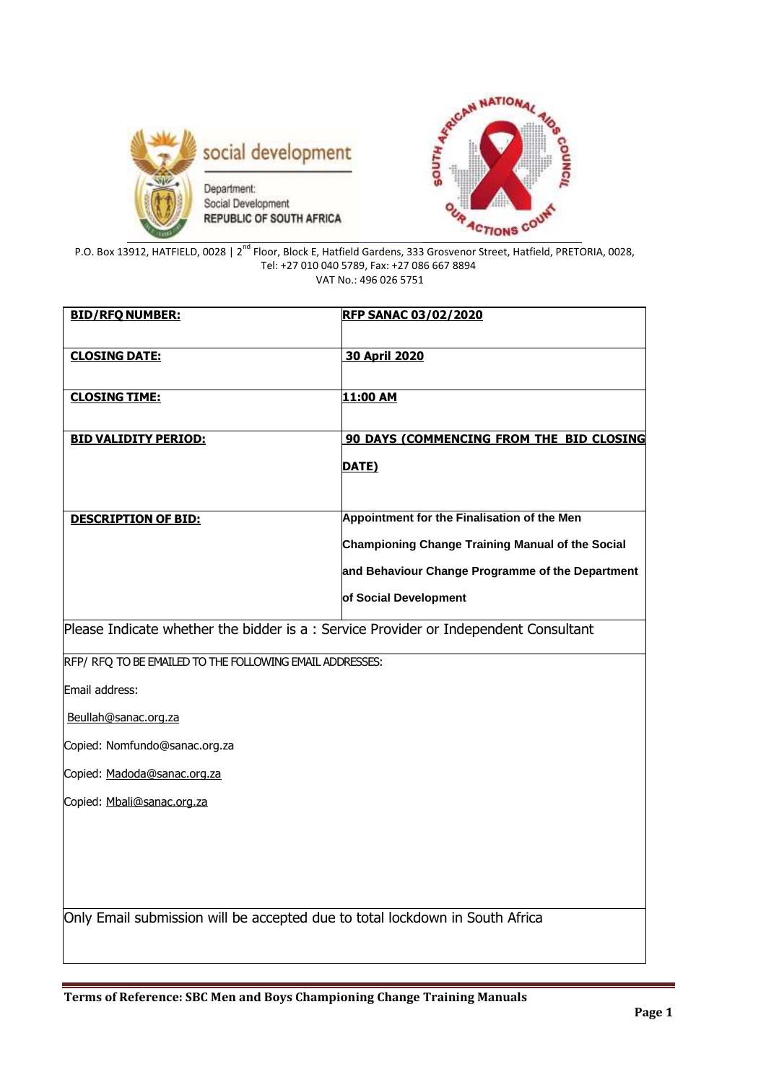



P.O. Box 13912, HATFIELD, 0028 | 2<sup>nd</sup> Floor, Block E, Hatfield Gardens, 333 Grosvenor Street, Hatfield, PRETORIA, 0028, Tel: +27 010 040 5789, Fax: +27 086 667 8894 VAT No.: 496 026 5751

**BID/RFQ NUMBER: RFP SANAC 03/02/2020 CLOSING DATE: 30 April 2020 CLOSING TIME: 11:00 AM**

| <b>BID VALIDITY PERIOD:</b> | 90 DAYS (COMMENCING FROM THE BID CLOSING                |
|-----------------------------|---------------------------------------------------------|
|                             | DATE)                                                   |
|                             |                                                         |
|                             |                                                         |
| <b>DESCRIPTION OF BID:</b>  | Appointment for the Finalisation of the Men             |
|                             | <b>Championing Change Training Manual of the Social</b> |
|                             | and Behaviour Change Programme of the Department        |
|                             | of Social Development                                   |

Please Indicate whether the bidder is a : Service Provider or Independent Consultant

RFP/ RFQ TO BE EMAILED TO THE FOLLOWING EMAIL ADDRESSES:

Email address:

[Beullah@sanac.org.za](mailto:Beullah@sanac.org.za)

Copied: Nomfundo@sanac.org.za

Copied: [Madoda@sanac.org.za](mailto:Madoda@sanac.org.za)

Copied: [Mbali@sanac.org.za](mailto:Mbali@sanac.org.za)

Only Email submission will be accepted due to total lockdown in South Africa

**Terms of Reference: SBC Men and Boys Championing Change Training Manuals**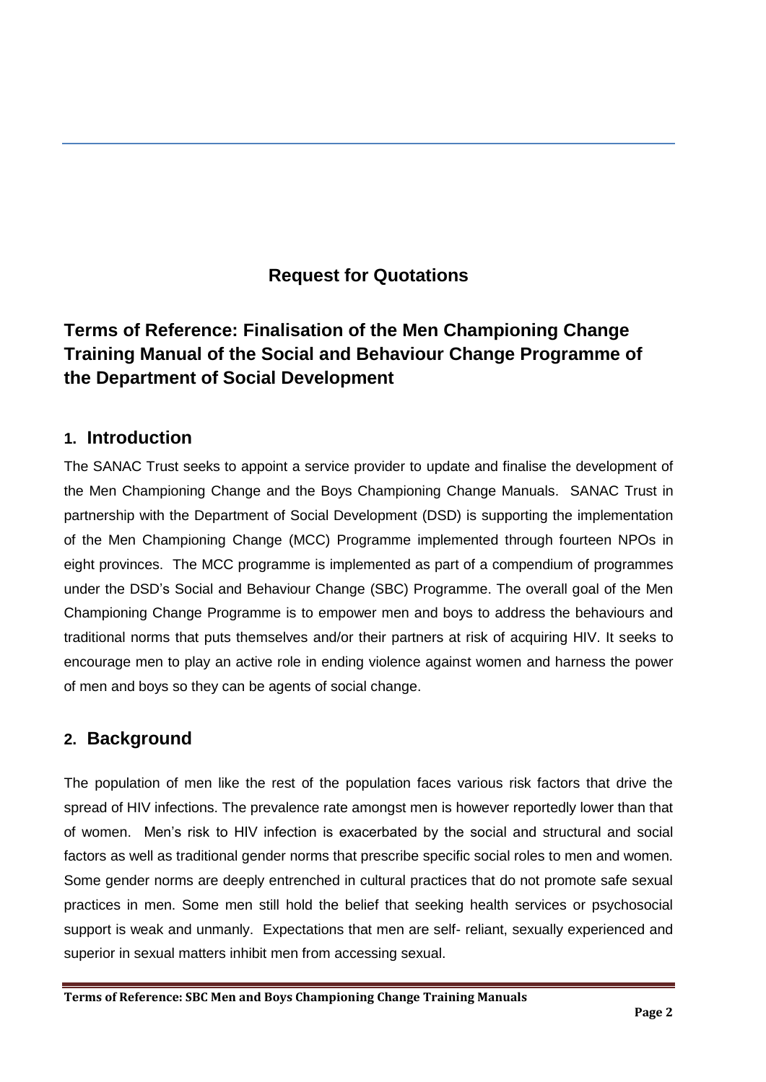## **Request for Quotations**

# **Terms of Reference: Finalisation of the Men Championing Change Training Manual of the Social and Behaviour Change Programme of the Department of Social Development**

## **1. Introduction**

The SANAC Trust seeks to appoint a service provider to update and finalise the development of the Men Championing Change and the Boys Championing Change Manuals. SANAC Trust in partnership with the Department of Social Development (DSD) is supporting the implementation of the Men Championing Change (MCC) Programme implemented through fourteen NPOs in eight provinces. The MCC programme is implemented as part of a compendium of programmes under the DSD's Social and Behaviour Change (SBC) Programme. The overall goal of the Men Championing Change Programme is to empower men and boys to address the behaviours and traditional norms that puts themselves and/or their partners at risk of acquiring HIV. It seeks to encourage men to play an active role in ending violence against women and harness the power of men and boys so they can be agents of social change.

## **2. Background**

The population of men like the rest of the population faces various risk factors that drive the spread of HIV infections. The prevalence rate amongst men is however reportedly lower than that of women. Men's risk to HIV infection is exacerbated by the social and structural and social factors as well as traditional gender norms that prescribe specific social roles to men and women. Some gender norms are deeply entrenched in cultural practices that do not promote safe sexual practices in men. Some men still hold the belief that seeking health services or psychosocial support is weak and unmanly. Expectations that men are self- reliant, sexually experienced and superior in sexual matters inhibit men from accessing sexual.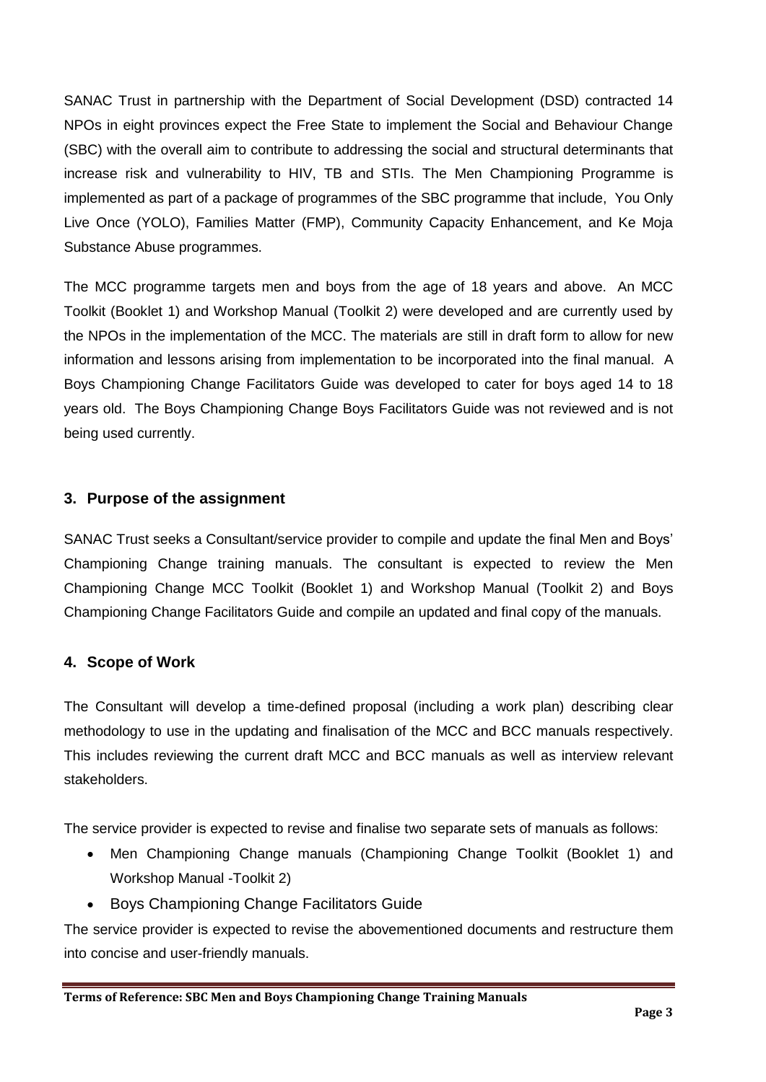SANAC Trust in partnership with the Department of Social Development (DSD) contracted 14 NPOs in eight provinces expect the Free State to implement the Social and Behaviour Change (SBC) with the overall aim to contribute to addressing the social and structural determinants that increase risk and vulnerability to HIV, TB and STIs. The Men Championing Programme is implemented as part of a package of programmes of the SBC programme that include, You Only Live Once (YOLO), Families Matter (FMP), Community Capacity Enhancement, and Ke Moja Substance Abuse programmes.

The MCC programme targets men and boys from the age of 18 years and above. An MCC Toolkit (Booklet 1) and Workshop Manual (Toolkit 2) were developed and are currently used by the NPOs in the implementation of the MCC. The materials are still in draft form to allow for new information and lessons arising from implementation to be incorporated into the final manual. A Boys Championing Change Facilitators Guide was developed to cater for boys aged 14 to 18 years old. The Boys Championing Change Boys Facilitators Guide was not reviewed and is not being used currently.

### **3. Purpose of the assignment**

SANAC Trust seeks a Consultant/service provider to compile and update the final Men and Boys' Championing Change training manuals. The consultant is expected to review the Men Championing Change MCC Toolkit (Booklet 1) and Workshop Manual (Toolkit 2) and Boys Championing Change Facilitators Guide and compile an updated and final copy of the manuals.

### **4. Scope of Work**

The Consultant will develop a time-defined proposal (including a work plan) describing clear methodology to use in the updating and finalisation of the MCC and BCC manuals respectively. This includes reviewing the current draft MCC and BCC manuals as well as interview relevant stakeholders.

The service provider is expected to revise and finalise two separate sets of manuals as follows:

- Men Championing Change manuals (Championing Change Toolkit (Booklet 1) and Workshop Manual -Toolkit 2)
- Boys Championing Change Facilitators Guide

The service provider is expected to revise the abovementioned documents and restructure them into concise and user-friendly manuals.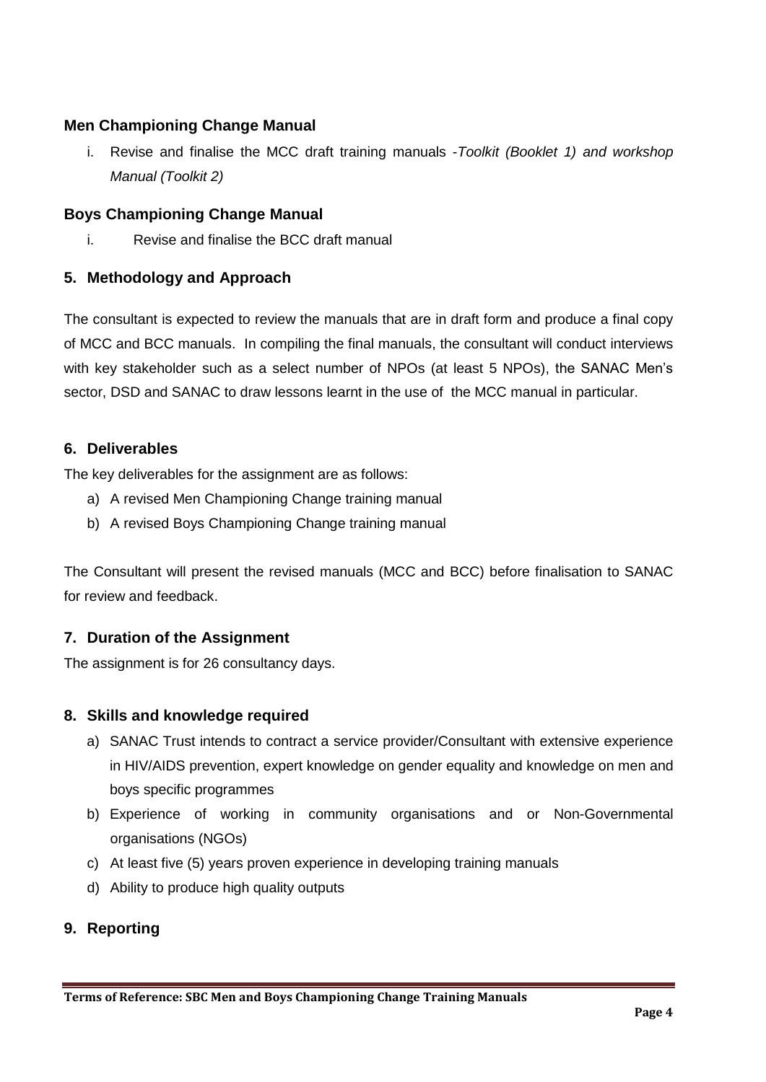### **Men Championing Change Manual**

i. Revise and finalise the MCC draft training manuals -*Toolkit (Booklet 1) and workshop Manual (Toolkit 2)*

#### **Boys Championing Change Manual**

i. Revise and finalise the BCC draft manual

#### **5. Methodology and Approach**

The consultant is expected to review the manuals that are in draft form and produce a final copy of MCC and BCC manuals. In compiling the final manuals, the consultant will conduct interviews with key stakeholder such as a select number of NPOs (at least 5 NPOs), the SANAC Men's sector, DSD and SANAC to draw lessons learnt in the use of the MCC manual in particular.

#### **6. Deliverables**

The key deliverables for the assignment are as follows:

- a) A revised Men Championing Change training manual
- b) A revised Boys Championing Change training manual

The Consultant will present the revised manuals (MCC and BCC) before finalisation to SANAC for review and feedback.

#### **7. Duration of the Assignment**

The assignment is for 26 consultancy days.

#### **8. Skills and knowledge required**

- a) SANAC Trust intends to contract a service provider/Consultant with extensive experience in HIV/AIDS prevention, expert knowledge on gender equality and knowledge on men and boys specific programmes
- b) Experience of working in community organisations and or Non-Governmental organisations (NGOs)
- c) At least five (5) years proven experience in developing training manuals
- d) Ability to produce high quality outputs

#### **9. Reporting**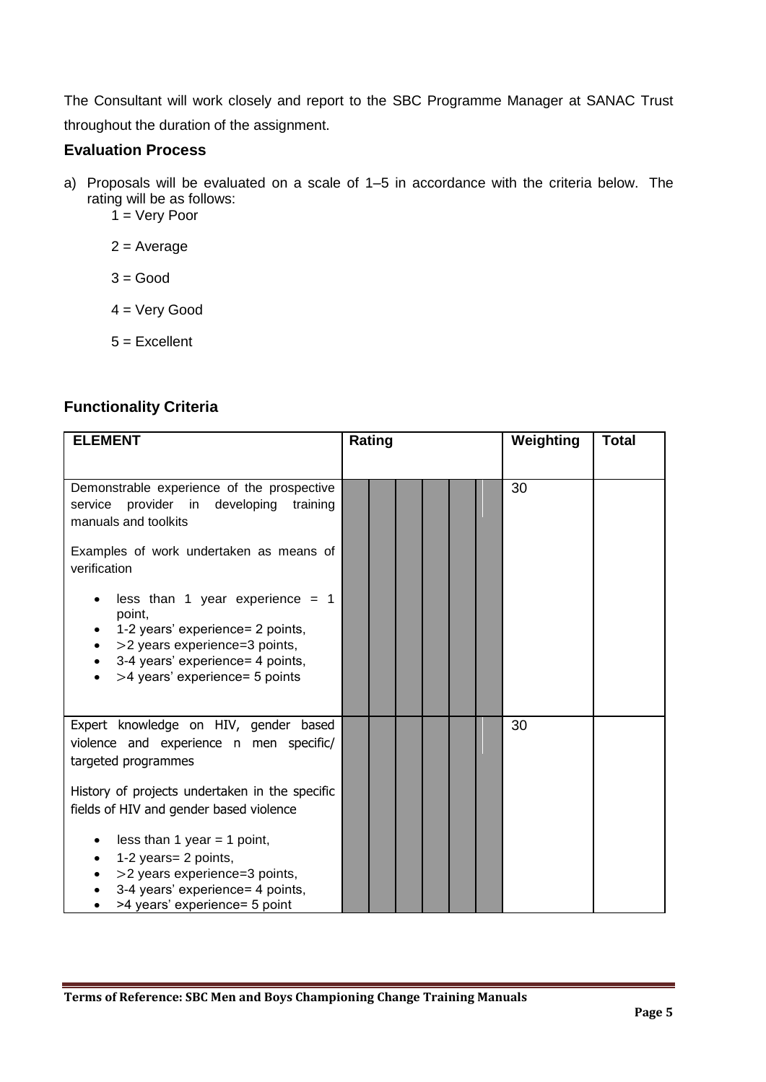The Consultant will work closely and report to the SBC Programme Manager at SANAC Trust throughout the duration of the assignment.

#### **Evaluation Process**

- a) Proposals will be evaluated on a scale of 1–5 in accordance with the criteria below. The rating will be as follows:
	- $1 = \text{Very Poor}$

 $2 = Average$ 

 $3 = Good$ 

4 = Very Good

5 = Excellent

## **Functionality Criteria**

| <b>ELEMENT</b>                                                                                                                                                                                                                                                                                                                                                                              | Rating | Weighting<br><b>Total</b> |
|---------------------------------------------------------------------------------------------------------------------------------------------------------------------------------------------------------------------------------------------------------------------------------------------------------------------------------------------------------------------------------------------|--------|---------------------------|
| Demonstrable experience of the prospective<br>provider<br>in<br>developing<br>service<br>training<br>manuals and toolkits<br>Examples of work undertaken as means of<br>verification<br>less than 1 year experience = $1$<br>point,<br>1-2 years' experience= 2 points,<br>>2 years experience=3 points,<br>3-4 years' experience= 4 points,<br>>4 years' experience= 5 points<br>$\bullet$ |        | 30                        |
| Expert knowledge on HIV, gender based<br>violence and experience n men specific/<br>targeted programmes<br>History of projects undertaken in the specific<br>fields of HIV and gender based violence<br>less than 1 year = 1 point,<br>1-2 years= 2 points,<br>>2 years experience=3 points,<br>3-4 years' experience= 4 points,<br>>4 years' experience= 5 point                           |        | 30                        |